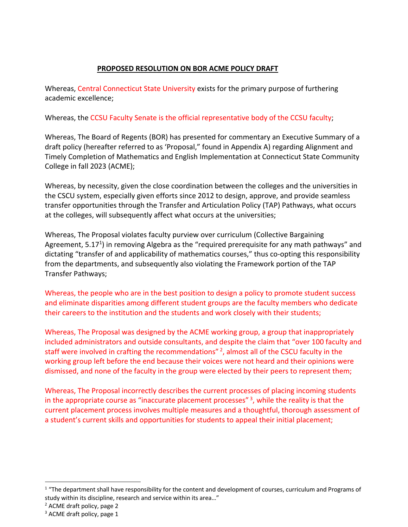## **PROPOSED RESOLUTION ON BOR ACME POLICY DRAFT**

Whereas, Central Connecticut State University exists for the primary purpose of furthering academic excellence;

Whereas, the CCSU Faculty Senate is the official representative body of the CCSU faculty;

Whereas, The Board of Regents (BOR) has presented for commentary an Executive Summary of a draft policy (hereafter referred to as 'Proposal," found in Appendix A) regarding Alignment and Timely Completion of Mathematics and English Implementation at Connecticut State Community College in fall 2023 (ACME);

Whereas, by necessity, given the close coordination between the colleges and the universities in the CSCU system, especially given efforts since 2012 to design, approve, and provide seamless transfer opportunities through the Transfer and Articulation Policy (TAP) Pathways, what occurs at the colleges, will subsequently affect what occurs at the universities;

Whereas, The Proposal violates faculty purview over curriculum (Collective Bargaining Agreement, 5.17<sup>1</sup>) in removing Algebra as the "required prerequisite for any math pathways" and dictating "transfer of and applicability of mathematics courses," thus co-opting this responsibility from the departments, and subsequently also violating the Framework portion of the TAP Transfer Pathways;

Whereas, the people who are in the best position to design a policy to promote student success and eliminate disparities among different student groups are the faculty members who dedicate their careers to the institution and the students and work closely with their students;

Whereas, The Proposal was designed by the ACME working group, a group that inappropriately included administrators and outside consultants, and despite the claim that "over 100 faculty and staff were involved in crafting the recommendations" <sup>2</sup>, almost all of the CSCU faculty in the working group left before the end because their voices were not heard and their opinions were dismissed, and none of the faculty in the group were elected by their peers to represent them;

Whereas, The Proposal incorrectly describes the current processes of placing incoming students in the appropriate course as "inaccurate placement processes" $3$ , while the reality is that the current placement process involves multiple measures and a thoughtful, thorough assessment of a student's current skills and opportunities for students to appeal their initial placement;

 $1$  "The department shall have responsibility for the content and development of courses, curriculum and Programs of study within its discipline, research and service within its area…"

<sup>2</sup> ACME draft policy, page 2

 $3$  ACME draft policy, page 1